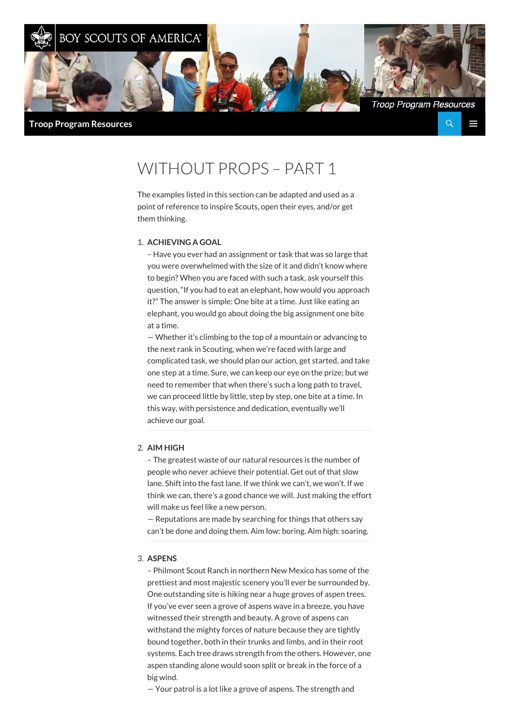

**Troop Program [Resources](http://www.programresources.org/)**

# WITHOUT PROPS – PART 1

The examples listed in this section can be adapted and used as a point of reference to inspire Scouts, open their eyes, and/or get them thinking.

# 1. **ACHIEVING A GOAL**

– Have you ever had an assignment or task that was so large that you were overwhelmed with the size of it and didn't know where to begin? When you are faced with such a task, ask yourself this question, "If you had to eat an elephant, how would you approach it?" The answer is simple: One bite at a time. Just like eating an elephant, you would go about doing the big assignment one bite at a time.

— Whether it's climbing to the top of a mountain or advancing to the next rank in Scouting, when we're faced with large and complicated task, we should plan our action, get started, and take one step at a time. Sure, we can keep our eye on the prize; but we need to remember that when there's such a long path to travel, we can proceed little by little, step by step, one bite at a time. In this way, with persistence and dedication, eventually we'll achieve our goal.

## 2. **AIM HIGH**

– The greatest waste of our natural resources is the number of people who never achieve their potential. Get out of that slow lane. Shift into the fast lane. If we think we can't, we won't. If we think we can, there's a good chance we will. Just making the effort will make us feel like a new person.

— Reputations are made by searching for things that others say can't be done and doing them. Aim low: boring. Aim high: soaring.

### 3. **ASPENS**

– Philmont Scout Ranch in northern New Mexico has some of the prettiest and most majestic scenery you'll ever be surrounded by. One outstanding site is hiking near a huge groves of aspen trees. If you've ever seen a grove of aspens wave in a breeze, you have witnessed their strength and beauty. A grove of aspens can withstand the mighty forces of nature because they are tightly bound together, both in their trunks and limbs, and in their root systems. Each tree draws strength from the others. However, one aspen standing alone would soon split or break in the force of a big wind.

— Your patrol is a lot like a grove of aspens. The strength and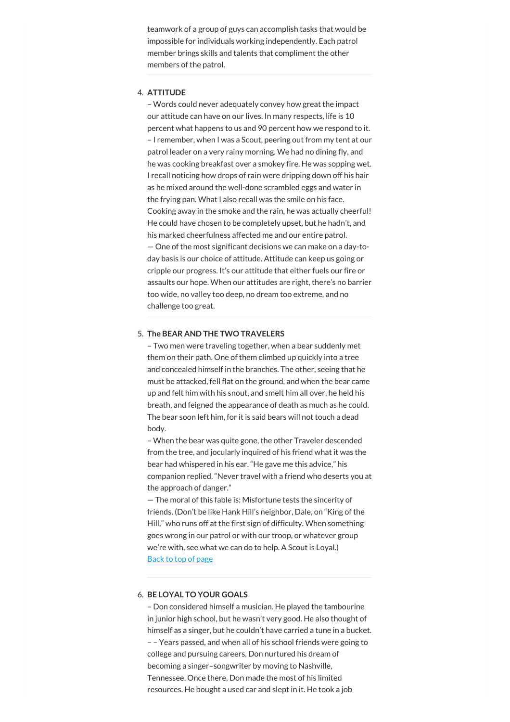teamwork of a group of guys can accomplish tasks that would be impossible for individuals working independently. Each patrol member brings skills and talents that compliment the other members of the patrol.

#### 4. **ATTITUDE**

– Words could never adequately convey how great the impact our attitude can have on our lives. In many respects, life is 10 percent what happens to us and 90 percent how we respond to it. – I remember, when I was a Scout, peering out from my tent at our patrol leader on a very rainy morning. We had no dining fly, and he was cooking breakfast over a smokey fire. He was sopping wet. I recall noticing how drops of rain were dripping down off his hair as he mixed around the well-done scrambled eggs and water in the frying pan. What I also recall was the smile on his face. Cooking away in the smoke and the rain, he was actually cheerful! He could have chosen to be completely upset, but he hadn't, and his marked cheerfulness affected me and our entire patrol. — One of the most significant decisions we can make on a day-today basis is our choice of attitude. Attitude can keep us going or cripple our progress. It's our attitude that either fuels our fire or assaults our hope. When our attitudes are right, there's no barrier too wide, no valley too deep, no dream too extreme, and no challenge too great.

#### 5. **The BEAR AND THE TWO TRAVELERS**

– Two men were traveling together, when a bear suddenly met them on their path. One of them climbed up quickly into a tree and concealed himself in the branches. The other, seeing that he must be attacked, fell flat on the ground, and when the bear came up and felt him with his snout, and smelt him all over, he held his breath, and feigned the appearance of death as much as he could. The bear soon left him, for it is said bears will not touch a dead body.

– When the bear was quite gone, the other Traveler descended from the tree, and jocularly inquired of his friend what it was the bear had whispered in his ear. "He gave me this advice," his companion replied. "Never travel with a friend who deserts you at the approach of danger."

— The moral of this fable is: Misfortune tests the sincerity of friends. (Don't be like Hank Hill's neighbor, Dale, on "King of the Hill," who runs off at the first sign of difficulty. When something goes wrong in our patrol or with our troop, or whatever group we're with, see what we can do to help. A Scout is Loyal.) Back to top of page

## 6. **BE LOYAL TO YOUR GOALS**

– Don considered himself a musician. He played the tambourine in junior high school, but he wasn't very good. He also thought of himself as a singer, but he couldn't have carried a tune in a bucket. – – Years passed, and when all of his school friends were going to college and pursuing careers, Don nurtured his dream of becoming a singer–songwriter by moving to Nashville, Tennessee. Once there, Don made the most of his limited resources. He bought a used car and slept in it. He took a job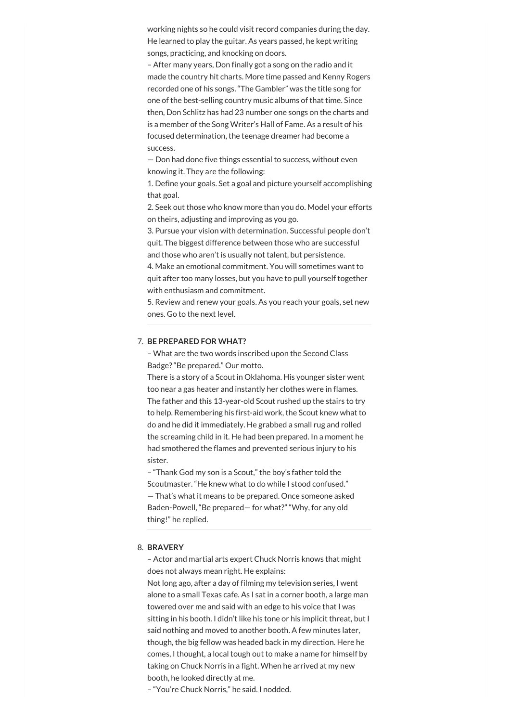working nights so he could visit record companies during the day. He learned to play the guitar. As years passed, he kept writing songs, practicing, and knocking on doors.

– After many years, Don finally got a song on the radio and it made the country hit charts. More time passed and Kenny Rogers recorded one of his songs. "The Gambler" was the title song for one of the best-selling country music albums of that time. Since then, Don Schlitz has had 23 number one songs on the charts and is a member of the Song Writer's Hall of Fame. As a result of his focused determination, the teenage dreamer had become a success.

— Don had done five things essential to success, without even knowing it. They are the following:

1. Define your goals. Set a goal and picture yourself accomplishing that goal.

2. Seek out those who know more than you do. Model your efforts on theirs, adjusting and improving as you go.

3. Pursue your vision with determination. Successful people don't quit. The biggest difference between those who are successful and those who aren't is usually not talent, but persistence.

4. Make an emotional commitment. You will sometimes want to quit after too many losses, but you have to pull yourself together with enthusiasm and commitment.

5. Review and renew your goals. As you reach your goals, set new ones. Go to the next level.

## 7. **BE PREPARED FOR WHAT?**

– What are the two words inscribed upon the Second Class Badge?"Be prepared." Our motto.

There is a story of a Scout in Oklahoma. His younger sister went too near a gas heater and instantly her clothes were in flames. The father and this 13-year-old Scout rushed up the stairs to try to help. Remembering his first-aid work, the Scout knew what to do and he did it immediately. He grabbed a small rug and rolled the screaming child in it. He had been prepared. In a moment he had smothered the flames and prevented serious injury to his sister.

– "Thank God my son is a Scout," the boy's father told the Scoutmaster. "He knew what to do while I stood confused." — That's what it means to be prepared. Once someone asked Baden-Powell, "Be prepared— for what?" "Why, for any old thing!" he replied.

# 8. **BRAVERY**

– Actor and martial arts expert Chuck Norris knows that might does not always mean right. He explains: Not long ago, after a day of filming my television series, I went alone to a small Texas cafe. As I sat in a corner booth, a large man towered over me and said with an edge to his voice that I was sitting in his booth. I didn't like his tone or his implicit threat, but I said nothing and moved to another booth. A few minutes later, though, the big fellow was headed back in my direction. Here he comes, I thought, a local tough out to make a name for himself by taking on Chuck Norris in a fight. When he arrived at my new booth, he looked directly at me.

– "You're Chuck Norris," he said. I nodded.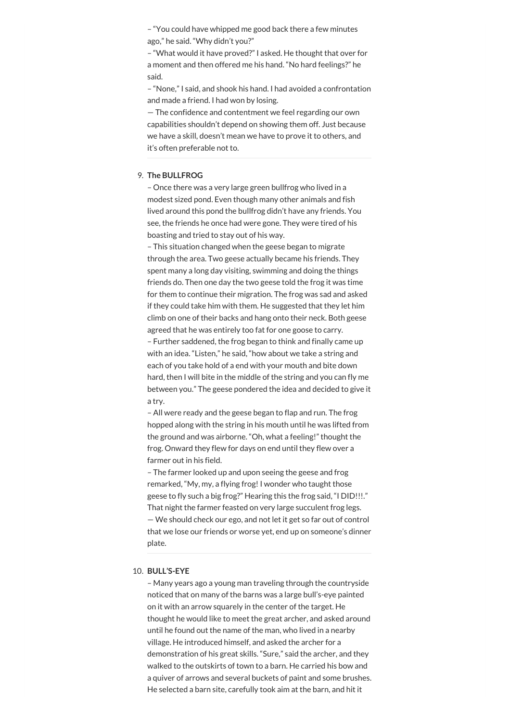– "You could have whipped me good back there a few minutes ago," he said. "Why didn't you?"

– "What would it have proved?" I asked. He thought that over for a moment and then offered me his hand. "No hard feelings?" he said.

– "None," I said, and shook his hand. I had avoided a confrontation and made a friend. I had won by losing.

— The confidence and contentment we feel regarding our own capabilities shouldn't depend on showing them off. Just because we have a skill, doesn't mean we have to prove it to others, and it's often preferable not to.

## 9. **The BULLFROG**

– Once there was a very large green bullfrog who lived in a modest sized pond. Even though many other animals and fish lived around this pond the bullfrog didn't have any friends. You see, the friends he once had were gone. They were tired of his boasting and tried to stay out of his way.

– This situation changed when the geese began to migrate through the area. Two geese actually became his friends. They spent many a long day visiting, swimming and doing the things friends do. Then one day the two geese told the frog it was time for them to continue their migration. The frog was sad and asked if they could take him with them. He suggested that they let him climb on one of their backs and hang onto their neck. Both geese agreed that he was entirely too fat for one goose to carry. – Further saddened, the frog began to think and finally came up with an idea. "Listen," he said, "how about we take a string and each of you take hold of a end with your mouth and bite down hard, then I will bite in the middle of the string and you can fly me

between you." The geese pondered the idea and decided to give it a try.

– All were ready and the geese began to flap and run. The frog hopped along with the string in his mouth until he was lifted from the ground and was airborne. "Oh, what a feeling!" thought the frog. Onward they flew for days on end until they flew over a farmer out in his field.

– The farmer looked up and upon seeing the geese and frog remarked, "My, my, a flying frog! I wonder who taught those geese to fly such a big frog?" Hearing this the frog said, "I DID!!!." That night the farmer feasted on very large succulent frog legs. — We should check our ego, and not let it get so far out of control that we lose our friends or worse yet, end up on someone's dinner plate.

# 10. **BULL'S-EYE**

– Many years ago a young man traveling through the countryside noticed that on many of the barns was a large bull's-eye painted on it with an arrow squarely in the center of the target. He thought he would like to meet the great archer, and asked around until he found out the name of the man, who lived in a nearby village. He introduced himself, and asked the archer for a demonstration of his great skills. "Sure," said the archer, and they walked to the outskirts of town to a barn. He carried his bow and a quiver of arrows and several buckets of paint and some brushes. He selected a barn site, carefully took aim at the barn, and hit it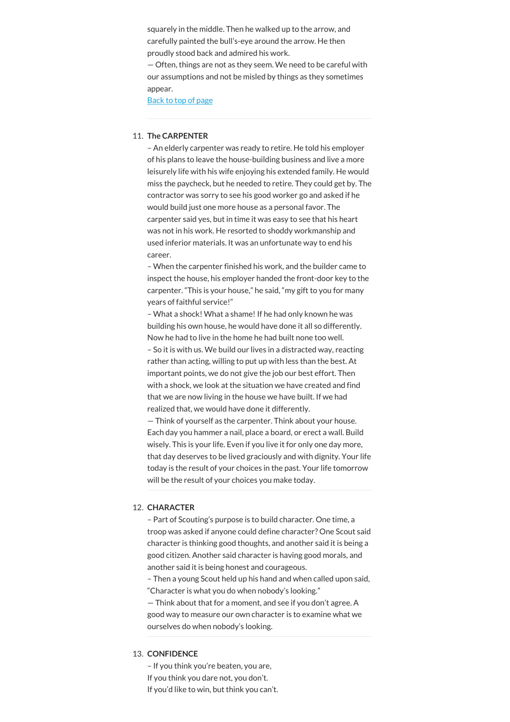squarely in the middle. Then he walked up to the arrow, and carefully painted the bull's-eye around the arrow. He then proudly stood back and admired his work.

— Often, things are not as they seem. We need to be careful with our assumptions and not be misled by things as they sometimes appear.

Back to top of page

# 11. **The CARPENTER**

– An elderly carpenter was ready to retire. He told his employer of his plans to leave the house-building business and live a more leisurely life with his wife enjoying his extended family. He would miss the paycheck, but he needed to retire. They could get by. The contractor was sorry to see his good worker go and asked if he would build just one more house as a personal favor. The carpenter said yes, but in time it was easy to see that his heart was not in his work. He resorted to shoddy workmanship and used inferior materials. It was an unfortunate way to end his career.

– When the carpenter finished his work, and the builder came to inspect the house, his employer handed the front-door key to the carpenter. "This is your house," he said, "my gift to you for many years of faithful service!"

– What a shock! What a shame! If he had only known he was building his own house, he would have done it all so differently. Now he had to live in the home he had built none too well. – So it is with us. We build our lives in a distracted way, reacting rather than acting, willing to put up with less than the best. At important points, we do not give the job our best effort. Then with a shock, we look at the situation we have created and find that we are now living in the house we have built. If we had realized that, we would have done it differently.

— Think of yourself as the carpenter. Think about your house. Each day you hammer a nail, place a board, or erect a wall. Build wisely. This is your life. Even if you live it for only one day more, that day deserves to be lived graciously and with dignity. Your life today is the result of your choices in the past. Your life tomorrow will be the result of your choices you make today.

### 12. **CHARACTER**

– Part of Scouting's purpose is to build character. One time, a troop was asked if anyone could define character? One Scout said character is thinking good thoughts, and another said it is being a good citizen. Another said character is having good morals, and another said it is being honest and courageous.

– Then a young Scout held up his hand and when called upon said, "Character is what you do when nobody's looking."

— Think about that for a moment, and see if you don't agree. A good way to measure our own character is to examine what we ourselves do when nobody's looking.

## 13. **CONFIDENCE**

– If you think you're beaten, you are, If you think you dare not, you don't. If you'd like to win, but think you can't.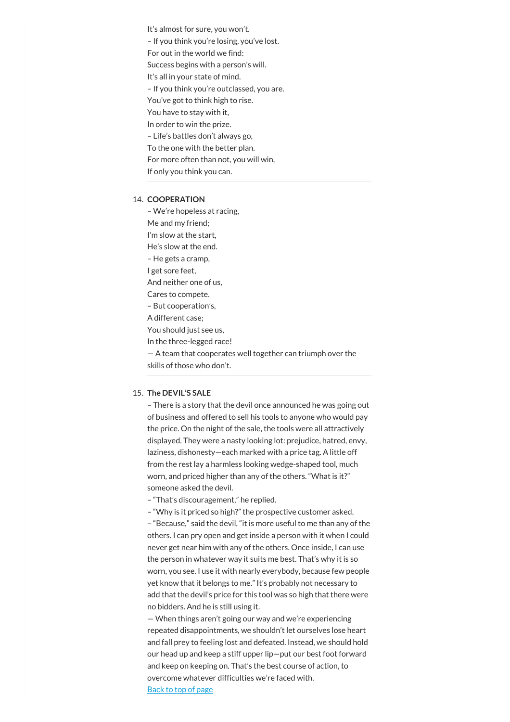It's almost for sure, you won't. – If you think you're losing, you've lost. For out in the world we find: Success begins with a person's will. It's all in your state of mind. – If you think you're outclassed, you are. You've got to think high to rise. You have to stay with it, In order to win the prize. – Life's battles don't always go, To the one with the better plan. For more often than not, you will win, If only you think you can.

### 14. **COOPERATION**

– We're hopeless at racing,

Me and my friend;

I'm slow at the start, He's slow at the end.

– He gets a cramp,

I get sore feet,

And neither one of us,

Cares to compete.

– But cooperation's,

A different case;

You should just see us,

In the three-legged race!

— A team that cooperates well together can triumph over the skills of those who don't.

# 15. **The DEVIL'S SALE**

– There is a story that the devil once announced he was going out of business and offered to sell his tools to anyone who would pay the price. On the night of the sale, the tools were all attractively displayed. They were a nasty looking lot: prejudice, hatred, envy, laziness, dishonesty—each marked with a price tag. A little off from the rest lay a harmless looking wedge-shaped tool, much worn, and priced higher than any of the others. "What is it?" someone asked the devil.

– "That's discouragement," he replied.

– "Why is it priced so high?" the prospective customer asked.

– "Because," said the devil, "it is more useful to me than any of the others. I can pry open and get inside a person with it when I could never get near him with any of the others. Once inside, I can use the person in whatever way it suits me best. That's why it is so worn, you see. I use it with nearly everybody, because few people yet know that it belongs to me." It's probably not necessary to add that the devil's price for this tool was so high that there were no bidders. And he is still using it.

— When things aren't going our way and we're experiencing repeated disappointments, we shouldn't let ourselves lose heart and fall prey to feeling lost and defeated. Instead, we should hold our head up and keep a stiff upper lip—put our best foot forward and keep on keeping on. That's the best course of action, to overcome whatever difficulties we're faced with.

Back to top of page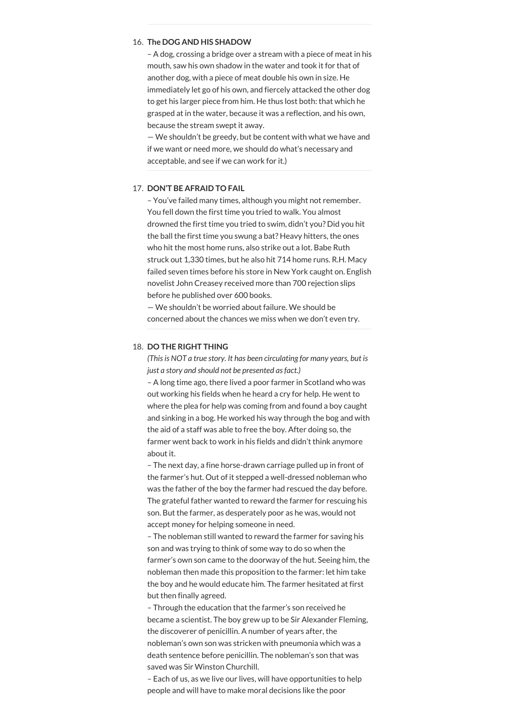## 16. **The DOG AND HIS SHADOW**

– A dog, crossing a bridge over a stream with a piece of meat in his mouth, saw his own shadow in the water and took it for that of another dog, with a piece of meat double his own in size. He immediately let go of his own, and fiercely attacked the other dog to get his larger piece from him. He thus lost both: that which he grasped at in the water, because it was a reflection, and his own, because the stream swept it away.

— We shouldn't be greedy, but be content with what we have and if we want or need more, we should do what's necessary and acceptable, and see if we can work for it.)

#### 17. **DON'T BE AFRAID TO FAIL**

– You've failed many times, although you might not remember. You fell down the first time you tried to walk. You almost drowned the first time you tried to swim, didn't you? Did you hit the ball the first time you swung a bat? Heavy hitters, the ones who hit the most home runs, also strike out a lot. Babe Ruth struck out 1,330 times, but he also hit 714 home runs. R.H. Macy failed seven times before his store in New York caught on. English novelist John Creasey received more than 700 rejection slips before he published over 600 books.

— We shouldn't be worried about failure. We should be concerned about the chances we miss when we don't even try.

#### 18. **DO THE RIGHT THING**

*(This is NOT a true story. It has been circulating for many years, but is just a story and should not be presented as fact.)*

– A long time ago, there lived a poor farmer in Scotland who was out working his fields when he heard a cry for help. He went to where the plea for help was coming from and found a boy caught and sinking in a bog. He worked his way through the bog and with the aid of a staff was able to free the boy. After doing so, the farmer went back to work in his fields and didn't think anymore about it.

– The next day, a fine horse-drawn carriage pulled up in front of the farmer's hut. Out of it stepped a well-dressed nobleman who was the father of the boy the farmer had rescued the day before. The grateful father wanted to reward the farmer for rescuing his son. But the farmer, as desperately poor as he was, would not accept money for helping someone in need.

– The nobleman still wanted to reward the farmer for saving his son and was trying to think of some way to do so when the farmer's own son came to the doorway of the hut. Seeing him, the nobleman then made this proposition to the farmer: let him take the boy and he would educate him. The farmer hesitated at first but then finally agreed.

– Through the education that the farmer's son received he became a scientist. The boy grew up to be Sir Alexander Fleming, the discoverer of penicillin. A number of years after, the nobleman's own son was stricken with pneumonia which was a death sentence before penicillin. The nobleman's son that was saved was Sir Winston Churchill.

– Each of us, as we live our lives, will have opportunities to help people and will have to make moral decisions like the poor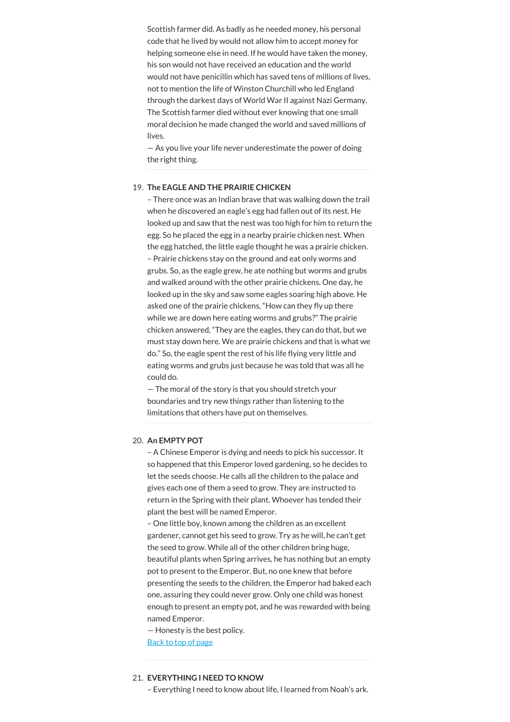Scottish farmer did. As badly as he needed money, his personal code that he lived by would not allow him to accept money for helping someone else in need. If he would have taken the money, his son would not have received an education and the world would not have penicillin which has saved tens of millions of lives, not to mention the life of Winston Churchill who led England through the darkest days of World War II against Nazi Germany. The Scottish farmer died without ever knowing that one small moral decision he made changed the world and saved millions of lives.

— As you live your life never underestimate the power of doing the right thing.

#### 19. **The EAGLE AND THE PRAIRIE CHICKEN**

– There once was an Indian brave that was walking down the trail when he discovered an eagle's egg had fallen out of its nest. He looked up and saw that the nest was too high for him to return the egg. So he placed the egg in a nearby prairie chicken nest. When the egg hatched, the little eagle thought he was a prairie chicken. – Prairie chickens stay on the ground and eat only worms and grubs. So, as the eagle grew, he ate nothing but worms and grubs and walked around with the other prairie chickens. One day, he looked up in the sky and saw some eagles soaring high above. He asked one of the prairie chickens, "How can they fly up there while we are down here eating worms and grubs?" The prairie chicken answered, "They are the eagles, they can do that, but we must stay down here. We are prairie chickens and that is what we do." So, the eagle spent the rest of his life flying very little and eating worms and grubs just because he was told that was all he could do.

— The moral of the story is that you should stretch your boundaries and try new things rather than listening to the limitations that others have put on themselves.

## 20. **An EMPTY POT**

– A Chinese Emperor is dying and needs to pick his successor. It so happened that this Emperor loved gardening, so he decides to let the seeds choose. He calls all the children to the palace and gives each one of them a seed to grow. They are instructed to return in the Spring with their plant. Whoever has tended their plant the best will be named Emperor.

– One little boy, known among the children as an excellent gardener, cannot get his seed to grow. Try as he will, he can't get the seed to grow. While all of the other children bring huge, beautiful plants when Spring arrives, he has nothing but an empty pot to present to the Emperor. But, no one knew that before presenting the seeds to the children, the Emperor had baked each one, assuring they could never grow. Only one child was honest enough to present an empty pot, and he was rewarded with being named Emperor.

— Honesty is the best policy. Back to top of page

## 21. **EVERYTHING I NEED TO KNOW**

– Everything I need to know about life, I learned from Noah's ark.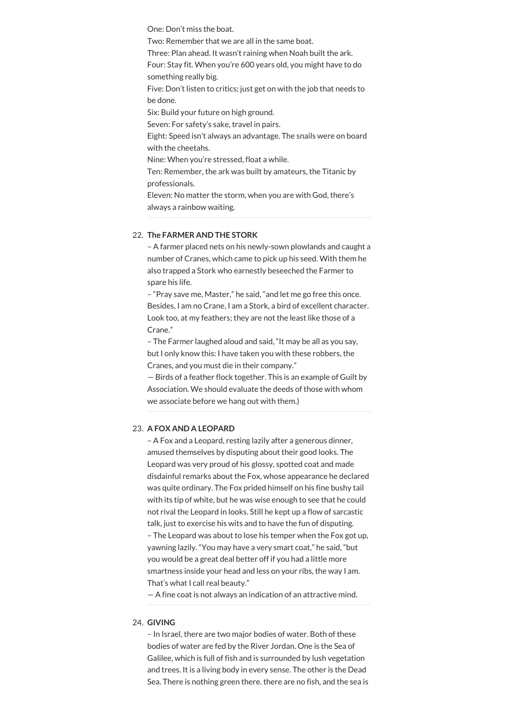One: Don't miss the boat. Two: Remember that we are all in the same boat. Three: Plan ahead. It wasn't raining when Noah built the ark. Four: Stay fit. When you're 600 years old, you might have to do something really big. Five: Don't listen to critics; just get on with the job that needs to be done. Six: Build your future on high ground. Seven: For safety's sake, travel in pairs. Eight: Speed isn't always an advantage. The snails were on board with the cheetahs. Nine: When you're stressed, float a while. Ten: Remember, the ark was built by amateurs, the Titanic by professionals. Eleven: No matter the storm, when you are with God, there's always a rainbow waiting.

#### 22. **The FARMER AND THE STORK**

– A farmer placed nets on his newly-sown plowlands and caught a number of Cranes, which came to pick up his seed. With them he also trapped a Stork who earnestly beseeched the Farmer to spare his life.

– "Pray save me, Master," he said, "and let me go free this once. Besides, I am no Crane, I am a Stork, a bird of excellent character. Look too, at my feathers; they are not the least like those of a Crane."

– The Farmer laughed aloud and said, "It may be all as you say, but I only know this: I have taken you with these robbers, the Cranes, and you must die in their company."

— Birds of a feather flock together. This is an example of Guilt by Association. We should evaluate the deeds of those with whom we associate before we hang out with them.)

# 23. **A FOX AND A LEOPARD**

– A Fox and a Leopard, resting lazily after a generous dinner, amused themselves by disputing about their good looks. The Leopard was very proud of his glossy, spotted coat and made disdainful remarks about the Fox, whose appearance he declared was quite ordinary. The Fox prided himself on his fine bushy tail with its tip of white, but he was wise enough to see that he could not rival the Leopard in looks. Still he kept up a flow of sarcastic talk, just to exercise his wits and to have the fun of disputing. – The Leopard was about to lose his temper when the Fox got up, yawning lazily. "You may have a very smart coat," he said, "but you would be a great deal better off if you had a little more smartness inside your head and less on your ribs, the way I am. That's what I call real beauty."

— A fine coat is not always an indication of an attractive mind.

#### 24. **GIVING**

– In Israel, there are two major bodies of water. Both of these bodies of water are fed by the River Jordan. One is the Sea of Galilee, which is full of fish and is surrounded by lush vegetation and trees. It is a living body in every sense. The other is the Dead Sea. There is nothing green there. there are no fish, and the sea is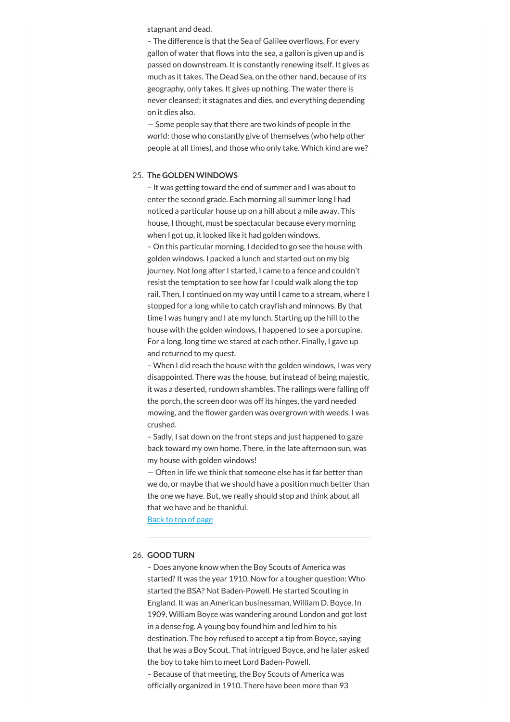stagnant and dead.

– The difference is that the Sea of Galilee overflows. For every gallon of water that flows into the sea, a gallon is given up and is passed on downstream. It is constantly renewing itself. It gives as much as it takes. The Dead Sea, on the other hand, because of its geography, only takes. It gives up nothing. The water there is never cleansed; it stagnates and dies, and everything depending on it dies also.

— Some people say that there are two kinds of people in the world: those who constantly give of themselves (who help other people at all times), and those who only take. Which kind are we?

## 25. **The GOLDEN WINDOWS**

and returned to my quest.

– It was getting toward the end of summer and I was about to enter the second grade. Each morning all summer long I had noticed a particular house up on a hill about a mile away. This house, I thought, must be spectacular because every morning when I got up, it looked like it had golden windows. – On this particular morning, I decided to go see the house with golden windows. I packed a lunch and started out on my big journey. Not long after I started, I came to a fence and couldn't resist the temptation to see how far I could walk along the top rail. Then, I continued on my way until I came to a stream, where I stopped for a long while to catch crayfish and minnows. By that time I was hungry and I ate my lunch. Starting up the hill to the house with the golden windows, I happened to see a porcupine. For a long, long time we stared at each other. Finally, I gave up

– When I did reach the house with the golden windows, I was very disappointed. There was the house, but instead of being majestic, it was a deserted, rundown shambles. The railings were falling off the porch, the screen door was off its hinges, the yard needed mowing, and the flower garden was overgrown with weeds. I was crushed.

– Sadly, I sat down on the front steps and just happened to gaze back toward my own home. There, in the late afternoon sun, was my house with golden windows!

— Often in life we think that someone else has it far better than we do, or maybe that we should have a position much better than the one we have. But, we really should stop and think about all that we have and be thankful.

Back to top of page

### 26. **GOOD TURN**

– Does anyone know when the Boy Scouts of America was started? It was the year 1910. Now for a tougher question: Who started the BSA? Not Baden-Powell. He started Scouting in England. It was an American businessman, William D. Boyce. In 1909, William Boyce was wandering around London and got lost in a dense fog. A young boy found him and led him to his destination. The boy refused to accept a tip from Boyce, saying that he was a Boy Scout. That intrigued Boyce, and he later asked the boy to take him to meet Lord Baden-Powell.

– Because of that meeting, the Boy Scouts of America was officially organized in 1910. There have been more than 93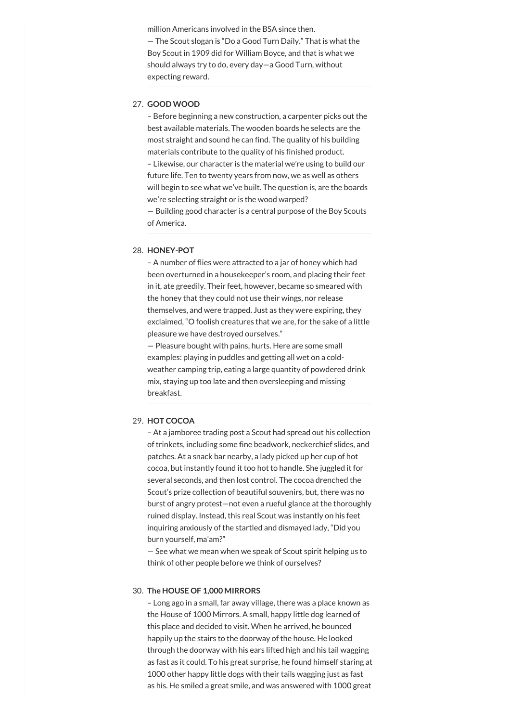million Americans involved in the BSA since then.

— The Scout slogan is "Do a Good Turn Daily." That is what the Boy Scout in 1909 did for William Boyce, and that is what we should always try to do, every day—a Good Turn, without expecting reward.

## 27. **GOOD WOOD**

– Before beginning a new construction, a carpenter picks out the best available materials. The wooden boards he selects are the most straight and sound he can find. The quality of his building materials contribute to the quality of his finished product. – Likewise, our character is the material we're using to build our future life. Ten to twenty years from now, we as well as others will begin to see what we've built. The question is, are the boards we're selecting straight or is the wood warped? — Building good character is a central purpose of the Boy Scouts

of America.

## 28. **HONEY-POT**

– A number of flies were attracted to a jar of honey which had been overturned in a housekeeper's room, and placing their feet in it, ate greedily. Their feet, however, became so smeared with the honey that they could not use their wings, nor release themselves, and were trapped. Just as they were expiring, they exclaimed, "O foolish creatures that we are, for the sake of a little pleasure we have destroyed ourselves."

— Pleasure bought with pains, hurts. Here are some small examples: playing in puddles and getting all wet on a coldweather camping trip, eating a large quantity of powdered drink mix, staying up too late and then oversleeping and missing breakfast.

## 29. **HOT COCOA**

– At a jamboree trading post a Scout had spread out his collection of trinkets, including some fine beadwork, neckerchief slides, and patches. At a snack bar nearby, a lady picked up her cup of hot cocoa, but instantly found it too hot to handle. She juggled it for several seconds, and then lost control. The cocoa drenched the Scout's prize collection of beautiful souvenirs, but, there was no burst of angry protest—not even a rueful glance at the thoroughly ruined display. Instead, this real Scout was instantly on his feet inquiring anxiously of the startled and dismayed lady, "Did you burn yourself, ma'am?"

— See what we mean when we speak of Scout spirit helping us to think of other people before we think of ourselves?

## 30. **The HOUSE OF 1,000 MIRRORS**

– Long ago in a small, far away village, there was a place known as the House of 1000 Mirrors. A small, happy little dog learned of this place and decided to visit. When he arrived, he bounced happily up the stairs to the doorway of the house. He looked through the doorway with his ears lifted high and his tail wagging as fast as it could. To his great surprise, he found himself staring at 1000 other happy little dogs with their tails wagging just as fast as his. He smiled a great smile, and was answered with 1000 great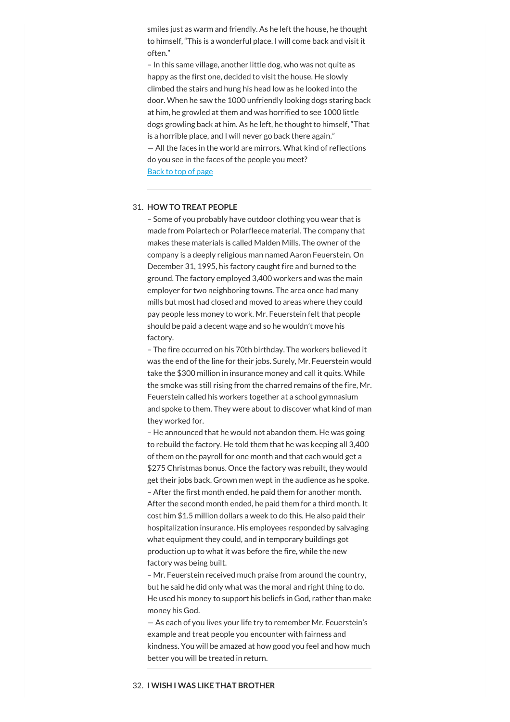smiles just as warm and friendly. As he left the house, he thought to himself, "This is a wonderful place. I will come back and visit it often."

– In this same village, another little dog, who was not quite as happy as the first one, decided to visit the house. He slowly climbed the stairs and hung his head low as he looked into the door. When he saw the 1000 unfriendly looking dogs staring back at him, he growled at them and was horrified to see 1000 little dogs growling back at him. As he left, he thought to himself, "That is a horrible place, and I will never go back there again." — All the faces in the world are mirrors. What kind of reflections do you see in the faces of the people you meet? Back to top of page

#### 31. **HOW TO TREAT PEOPLE**

– Some of you probably have outdoor clothing you wear that is made from Polartech or Polarfleece material. The company that makes these materials is called Malden Mills. The owner of the company is a deeply religious man named Aaron Feuerstein. On December 31, 1995, his factory caught fire and burned to the ground. The factory employed 3,400 workers and was the main employer for two neighboring towns. The area once had many mills but most had closed and moved to areas where they could pay people less money to work. Mr. Feuerstein felt that people should be paid a decent wage and so he wouldn't move his factory.

– The fire occurred on his 70th birthday. The workers believed it was the end of the line for their jobs. Surely, Mr. Feuerstein would take the \$300 million in insurance money and call it quits. While the smoke was still rising from the charred remains of the fire, Mr. Feuerstein called his workers together at a school gymnasium and spoke to them. They were about to discover what kind of man they worked for.

– He announced that he would not abandon them. He was going to rebuild the factory. He told them that he was keeping all 3,400 of them on the payroll for one month and that each would get a \$275 Christmas bonus. Once the factory was rebuilt, they would get their jobs back. Grown men wept in the audience as he spoke. – After the first month ended, he paid them for another month. After the second month ended, he paid them for a third month. It cost him \$1.5 million dollars a week to do this. He also paid their hospitalization insurance. His employees responded by salvaging what equipment they could, and in temporary buildings got production up to what it was before the fire, while the new factory was being built.

– Mr. Feuerstein received much praise from around the country, but he said he did only what was the moral and right thing to do. He used his money to support his beliefs in God, rather than make money his God.

— As each of you lives your life try to remember Mr. Feuerstein's example and treat people you encounter with fairness and kindness. You will be amazed at how good you feel and how much better you will be treated in return.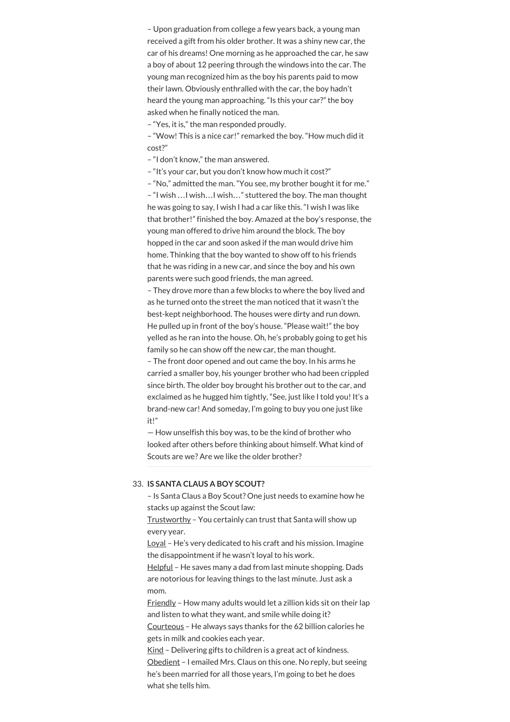– Upon graduation from college a few years back, a young man received a gift from his older brother. It was a shiny new car, the car of his dreams! One morning as he approached the car, he saw a boy of about 12 peering through the windows into the car. The young man recognized him as the boy his parents paid to mow their lawn. Obviously enthralled with the car, the boy hadn't heard the young man approaching. "Is this your car?" the boy asked when he finally noticed the man.

– "Yes, it is," the man responded proudly.

– "Wow! This is a nice car!" remarked the boy. "How much did it cost?"

– "I don't know," the man answered.

– "It's your car, but you don't know how much it cost?"

– "No," admitted the man. "You see, my brother bought it for me." – "I wish …I wish…I wish…" stuttered the boy. The man thought he was going to say, I wish I had a car like this. "I wish I was like that brother!" finished the boy. Amazed at the boy's response, the young man offered to drive him around the block. The boy hopped in the car and soon asked if the man would drive him home. Thinking that the boy wanted to show off to his friends that he was riding in a new car, and since the boy and his own parents were such good friends, the man agreed.

– They drove more than a few blocks to where the boy lived and as he turned onto the street the man noticed that it wasn't the best-kept neighborhood. The houses were dirty and run down. He pulled up in front of the boy's house. "Please wait!" the boy yelled as he ran into the house. Oh, he's probably going to get his family so he can show off the new car, the man thought.

– The front door opened and out came the boy. In his arms he carried a smaller boy, his younger brother who had been crippled since birth. The older boy brought his brother out to the car, and exclaimed as he hugged him tightly, "See, just like I told you! It's a brand-new car! And someday, I'm going to buy you one just like it!"

— How unselfish this boy was, to be the kind of brother who looked after others before thinking about himself. What kind of Scouts are we? Are we like the older brother?

# 33. **IS SANTA CLAUS A BOY SCOUT?**

– Is Santa Claus a Boy Scout? One just needs to examine how he stacks up against the Scout law:

Trustworthy – You certainly can trust that Santa will show up every year.

Loyal – He's very dedicated to his craft and his mission. Imagine the disappointment if he wasn't loyal to his work.

Helpful - He saves many a dad from last minute shopping. Dads are notorious for leaving things to the last minute. Just ask a mom.

Friendly – How many adults would let a zillion kids sit on their lap and listen to what they want, and smile while doing it?

Courteous – He always says thanks for the 62 billion calories he gets in milk and cookies each year.

Kind - Delivering gifts to children is a great act of kindness. Obedient – I emailed Mrs. Claus on this one. No reply, but seeing he's been married for all those years, I'm going to bet he does what she tells him.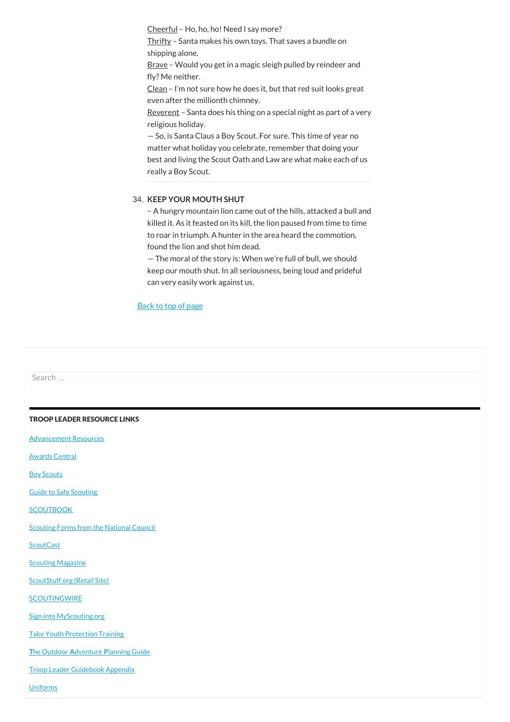Cheerful – Ho, ho, ho! Need I say more? Thrifty – Santa makes his own toys. That saves a bundle on shipping alone. Brave – Would you get in a magic sleigh pulled by reindeer and fly? Me neither. Clean – I'm not sure how he does it, but that red suit looks great even after the millionth chimney. Reverent – Santa does his thing on a special night as part of a very religious holiday. — So, is Santa Claus a Boy Scout. For sure. This time of year no

matter what holiday you celebrate, remember that doing your best and living the Scout Oath and Law are what make each of us really a Boy Scout.

#### 34. **KEEP YOUR MOUTH SHUT**

– A hungry mountain lion came out of the hills, attacked a bull and killed it. As it feasted on its kill, the lion paused from time to time to roar in triumph. A hunter in the area heard the commotion, found the lion and shot him dead.

— The moral of the story is: When we're full of bull, we should keep our mouth shut. In all seriousness, being loud and prideful can very easily work against us.

# Back to top of page

Search …

#### TROOP LEADER RESOURCE LINKS

[Advancement](http://www.scouting.org/advancement.aspx) Resources

[Awards](http://www.scouting.org/scoutsource/Awards_Central.aspx) Central

Boy [Scouts](http://www.scouting.org/scoutsource/BoyScouts.aspx)

Guide to Safe [Scouting](http://www.scouting.org/scoutsource/HealthandSafety/GSS.aspx)

**[SCOUTBOOK](https://www.scoutbook.com)** 

[Scouting](http://www.scouting.org/forms.aspx) Forms from the National Council

**[ScoutCast](http://www.scouting.org/Scoutcast.aspx)** 

Scouting [Magazine](http://scoutingmagazine.org)

[ScoutStuff.org](http://www.scoutstuff.org) (Retail Site)

**[SCOUTINGWIRE](http://scoutingwire.org)** 

Sign into [MyScouting.org](https://my.scouting.org)

Take Youth [Protection](http://troopleader.org/take-youth-protection-training/) Training

**T**he Outdoor **A**[dventure](http://bsatap.org) **P**lanning Guide

Troop Leader [Guidebook](http://www.scouting.org/filestore/pdf/512-150_Appendix(15)_WEB.pdf) Appendix

**[Uniforms](http://bsauniforms.org/boyscouts)**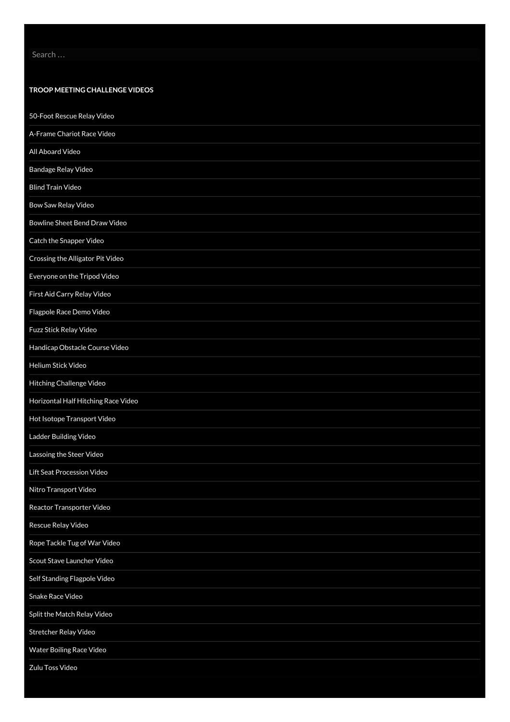# **TROOP MEETING CHALLENGE VIDEOS**

|  |  |  |  |  |  |  |  | 50-Foot Rescue Relay Video |
|--|--|--|--|--|--|--|--|----------------------------|
|--|--|--|--|--|--|--|--|----------------------------|

[A-Frame](http://www.programresources.org/a-frame-chariot-race-video/) Chariot Race Video

All [Aboard](http://www.programresources.org/all-aboard-video/) Video

[Bandage](http://www.programresources.org/bandage-relay-video/) Relay Video

Blind Train [Video](http://www.programresources.org/blind-train-video/)

Bow Saw Relay [Video](http://www.programresources.org/bow-saw-relay/)

[Bowline](http://www.programresources.org/bowline-sheet-bend-draw-video/) Sheet Bend Draw Video

Catch the [Snapper](http://www.programresources.org/catch-the-snapper-video/) Video

[Crossing](http://www.programresources.org/crossing-the-alligator-pit-video/) the Alligator Pit Video

[Everyone](http://www.programresources.org/everyone-on-the-tripod-video/) on the Tripod Video

First Aid Carry Relay [Video](http://www.programresources.org/first-aid-carry-relay-video/)

[Flagpole](http://www.programresources.org/flagpole-race-demo-video/) Race Demo Video

Fuzz Stick Relay [Video](http://www.programresources.org/fuzz-stick-relay-video/)

[Handicap](http://www.programresources.org/handicap-obstacle-course-video/) Obstacle Course Video

[Helium](http://www.programresources.org/helium-stick-video/) Stick Video

Hitching [Challenge](http://www.programresources.org/hitching-challenge-video/) Video

[Horizontal](http://www.programresources.org/horizontal-half-hitching-race-video/) Half Hitching Race Video

Hot Isotope [Transport](http://www.programresources.org/hot-isotope-transport-video/) Video

Ladder [Building](http://www.programresources.org/ladder-building-video/) Video

[Lassoing](http://www.programresources.org/lassoing-the-steer-video/) the Steer Video

Lift Seat [Procession](http://www.programresources.org/lift-seat-challenge-video/) Video

Nitro [Transport](http://www.programresources.org/nitro-transport-video/) Video

Reactor [Transporter](http://www.programresources.org/reactor-transporter-video/) Video

[Rescue](http://www.programresources.org/rescue-relay-video/) Relay Video

Rope [Tackle](http://www.programresources.org/rope-tackle-tug-of-war-video/) Tug of War Video

Scout Stave [Launcher](http://www.programresources.org/scout-stave-launcher-video/) Video

Self [Standing](http://www.programresources.org/self-standing-flagpole-video/) Flagpole Video

[Snake](http://www.programresources.org/snake-race-video/) Race Video

Split the [Match](http://www.programresources.org/split-the-match-relay-video/) Relay Video

[Stretcher](http://www.programresources.org/stretcher-relay-video/) Relay Video

Water [Boiling](http://www.programresources.org/water-boiling-race-video/) Race Video

Zulu Toss [Video](http://www.programresources.org/zulu-toss-video/)